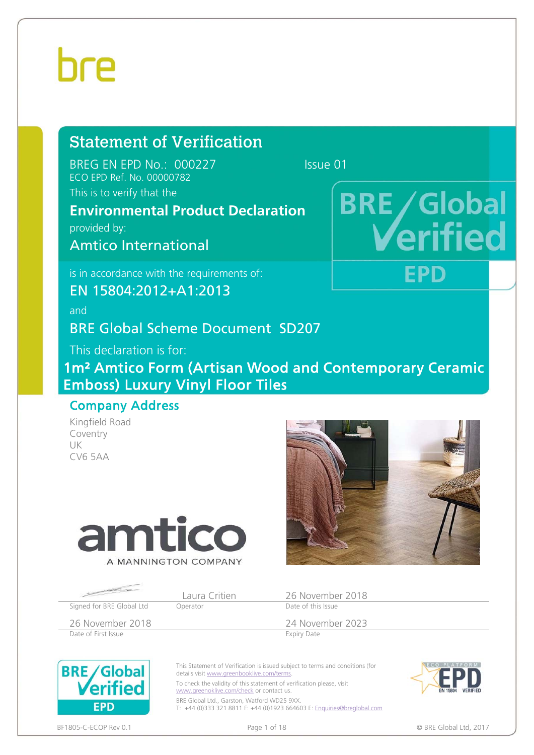# Statement of Verification

BREG EN EPD No.: 000227 Issue 01 ECO EPD Ref. No. 00000782

### This is to verify that the

# **Environmental Product Declaration**

provided by:

Amtico International

is in accordance with the requirements of:

EN 15804:2012+A1:2013

and

BRE Global Scheme Document SD207

This declaration is for:

1m² Amtico Form (Artisan Wood and Contemporary Ceramic Emboss) Luxury Vinyl Floor Tiles

### Company Address

Kingfield Road Coventry UK CV6 5AA





**BRE/Global** 

FPD

ritie

|                           | Laura Critien | 26 November 2018   |
|---------------------------|---------------|--------------------|
| Signed for BRE Global Ltd | Operator      | Date of this Issue |
| 26 November 2018          |               | 24 November 2023   |
| Date of First Issue       |               | Expiry Date        |

Date of First Issue



This Statement of Verification is issued subject to terms and conditions (for details visit www.greenbooklive.com/terms.

To check the validity of this statement of verification please, visit www.greenoklive.com/check or contact us.

BRE Global Ltd., Garston, Watford WD25 9XX. T: +44 (0)333 321 8811 F: +44 (0)1923 664603 E: Enquiries@breglobal.com



BF1805-C-ECOP Rev 0.1 **Details a contract that the contract of the Page 1 of 18** C BRE Global Ltd, 2017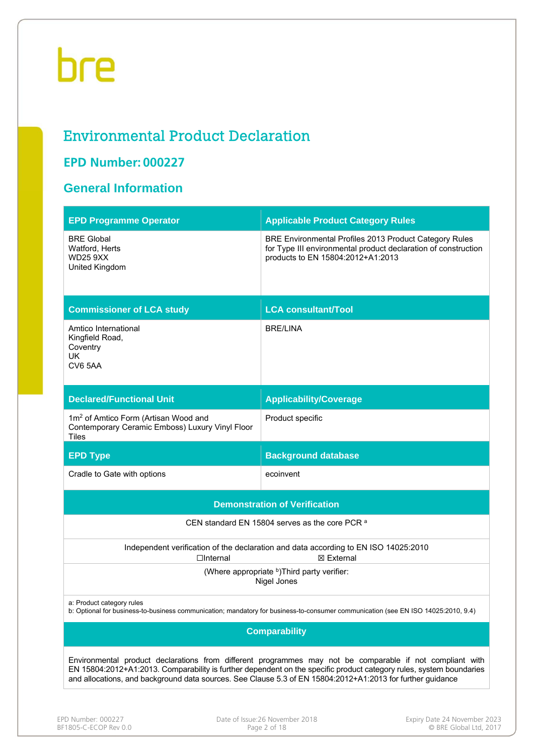# Environmental Product Declaration

# **EPD Number: 000227**

## **General Information**

| <b>EPD Programme Operator</b>                                                                                                                                                                                                                                                                                                                 | <b>Applicable Product Category Rules</b>                                                                                                                      |  |  |  |  |
|-----------------------------------------------------------------------------------------------------------------------------------------------------------------------------------------------------------------------------------------------------------------------------------------------------------------------------------------------|---------------------------------------------------------------------------------------------------------------------------------------------------------------|--|--|--|--|
| <b>BRE Global</b><br>Watford, Herts<br><b>WD25 9XX</b><br>United Kingdom                                                                                                                                                                                                                                                                      | BRE Environmental Profiles 2013 Product Category Rules<br>for Type III environmental product declaration of construction<br>products to EN 15804:2012+A1:2013 |  |  |  |  |
| <b>Commissioner of LCA study</b>                                                                                                                                                                                                                                                                                                              | <b>LCA consultant/Tool</b>                                                                                                                                    |  |  |  |  |
| Amtico International<br>Kingfield Road,<br>Coventry<br>UK.<br>CV6 5AA                                                                                                                                                                                                                                                                         | <b>BRE/LINA</b>                                                                                                                                               |  |  |  |  |
| <b>Declared/Functional Unit</b>                                                                                                                                                                                                                                                                                                               | <b>Applicability/Coverage</b>                                                                                                                                 |  |  |  |  |
| 1m <sup>2</sup> of Amtico Form (Artisan Wood and<br>Contemporary Ceramic Emboss) Luxury Vinyl Floor<br><b>Tiles</b>                                                                                                                                                                                                                           | Product specific                                                                                                                                              |  |  |  |  |
| <b>EPD Type</b>                                                                                                                                                                                                                                                                                                                               | <b>Background database</b>                                                                                                                                    |  |  |  |  |
| Cradle to Gate with options                                                                                                                                                                                                                                                                                                                   | ecoinvent                                                                                                                                                     |  |  |  |  |
|                                                                                                                                                                                                                                                                                                                                               | <b>Demonstration of Verification</b>                                                                                                                          |  |  |  |  |
|                                                                                                                                                                                                                                                                                                                                               | CEN standard EN 15804 serves as the core PCR a                                                                                                                |  |  |  |  |
| $\Box$ Internal                                                                                                                                                                                                                                                                                                                               | Independent verification of the declaration and data according to EN ISO 14025:2010<br>⊠ External                                                             |  |  |  |  |
|                                                                                                                                                                                                                                                                                                                                               | (Where appropriate b)Third party verifier:<br>Nigel Jones                                                                                                     |  |  |  |  |
| a: Product category rules                                                                                                                                                                                                                                                                                                                     | b: Optional for business-to-business communication; mandatory for business-to-consumer communication (see EN ISO 14025:2010, 9.4)                             |  |  |  |  |
|                                                                                                                                                                                                                                                                                                                                               | <b>Comparability</b>                                                                                                                                          |  |  |  |  |
| Environmental product declarations from different programmes may not be comparable if not compliant with<br>EN 15804:2012+A1:2013. Comparability is further dependent on the specific product category rules, system boundaries<br>and allocations, and background data sources. See Clause 5.3 of EN 15804:2012+A1:2013 for further guidance |                                                                                                                                                               |  |  |  |  |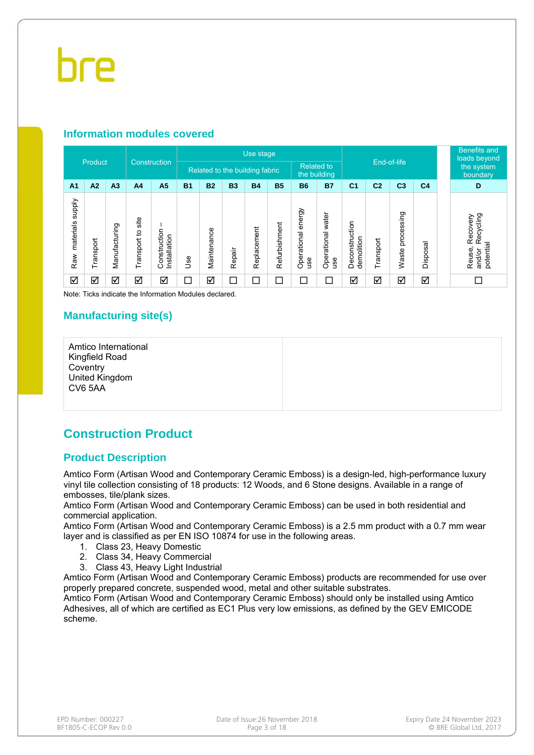#### **Information modules covered**

|                                  |                      |                |                      |                              |           |                                |           | Use stage   |               |                              |                          |                              |                |                     |                | <b>Benefits and</b><br>loads beyond                                                |
|----------------------------------|----------------------|----------------|----------------------|------------------------------|-----------|--------------------------------|-----------|-------------|---------------|------------------------------|--------------------------|------------------------------|----------------|---------------------|----------------|------------------------------------------------------------------------------------|
|                                  | Product              |                |                      | Construction                 |           | Related to the building fabric |           |             |               | <b>Related to</b>            | the building             |                              |                | End-of-life         |                | the system<br>boundary                                                             |
| A <sub>1</sub>                   | A2                   | A <sub>3</sub> | A <sub>4</sub>       | A <sub>5</sub>               | <b>B1</b> | <b>B2</b>                      | <b>B3</b> | <b>B4</b>   | <b>B5</b>     | <b>B6</b>                    | <b>B7</b>                | C <sub>1</sub>               | C <sub>2</sub> | C <sub>3</sub>      | C <sub>4</sub> | D                                                                                  |
| <b>Addns</b><br>materials<br>Raw | Transport            | Manufacturing  | site<br>Transport to | Construction<br>Installation | 9se       | Maintenance                    | Repair    | Replacement | Refurbishment | energy<br>Operational<br>use | Operational water<br>use | Deconstruction<br>demolition | Transport      | processing<br>Waste | Disposal       | Recycling<br>Recovery<br>potential<br>$\overline{\phantom{a}}$<br>Reuse,<br>and/or |
| ☑                                | $\blacktriangledown$ | ☑              | ☑                    | ☑                            | ▁         | ☑                              | $\Box$    | $\Box$      | $\Box$        | $\Box$                       | ⊏                        | ☑                            | ☑              | ☑                   | ☑              |                                                                                    |

Note: Ticks indicate the Information Modules declared.

#### **Manufacturing site(s)**

Amtico International Kingfield Road **Coventry** United Kingdom CV6 5AA

### **Construction Product**

#### **Product Description**

Amtico Form (Artisan Wood and Contemporary Ceramic Emboss) is a design-led, high-performance luxury vinyl tile collection consisting of 18 products: 12 Woods, and 6 Stone designs. Available in a range of embosses, tile/plank sizes.

Amtico Form (Artisan Wood and Contemporary Ceramic Emboss) can be used in both residential and commercial application.

Amtico Form (Artisan Wood and Contemporary Ceramic Emboss) is a 2.5 mm product with a 0.7 mm wear layer and is classified as per EN ISO 10874 for use in the following areas.

- 1. Class 23, Heavy Domestic
- 2. Class 34, Heavy Commercial
- 3. Class 43, Heavy Light Industrial

Amtico Form (Artisan Wood and Contemporary Ceramic Emboss) products are recommended for use over properly prepared concrete, suspended wood, metal and other suitable substrates.

Amtico Form (Artisan Wood and Contemporary Ceramic Emboss) should only be installed using Amtico Adhesives, all of which are certified as EC1 Plus very low emissions, as defined by the GEV EMICODE scheme.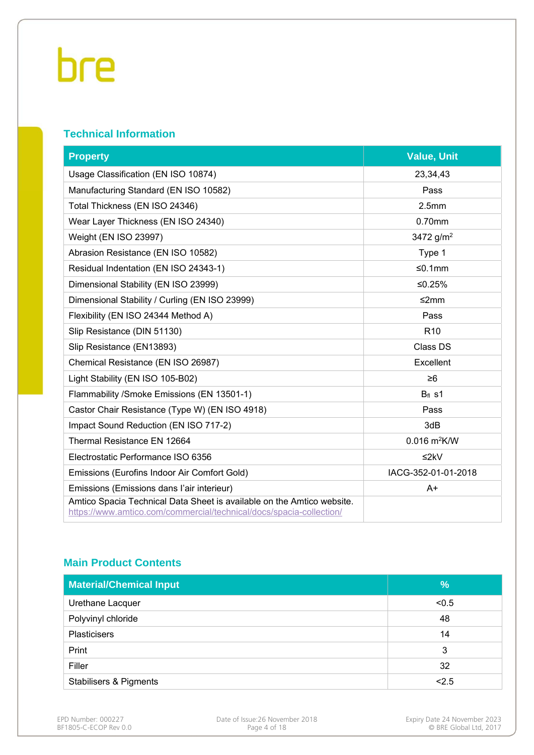### **Technical Information**

| <b>Property</b>                                                                                                                               | <b>Value, Unit</b>         |
|-----------------------------------------------------------------------------------------------------------------------------------------------|----------------------------|
| Usage Classification (EN ISO 10874)                                                                                                           | 23,34,43                   |
| Manufacturing Standard (EN ISO 10582)                                                                                                         | Pass                       |
| Total Thickness (EN ISO 24346)                                                                                                                | 2.5 <sub>mm</sub>          |
| Wear Layer Thickness (EN ISO 24340)                                                                                                           | 0.70mm                     |
| Weight (EN ISO 23997)                                                                                                                         | 3472 $g/m^2$               |
| Abrasion Resistance (EN ISO 10582)                                                                                                            | Type 1                     |
| Residual Indentation (EN ISO 24343-1)                                                                                                         | ≤0.1mm                     |
| Dimensional Stability (EN ISO 23999)                                                                                                          | ≤0.25%                     |
| Dimensional Stability / Curling (EN ISO 23999)                                                                                                | ≤2mm                       |
| Flexibility (EN ISO 24344 Method A)                                                                                                           | Pass                       |
| Slip Resistance (DIN 51130)                                                                                                                   | R <sub>10</sub>            |
| Slip Resistance (EN13893)                                                                                                                     | Class DS                   |
| Chemical Resistance (EN ISO 26987)                                                                                                            | Excellent                  |
| Light Stability (EN ISO 105-B02)                                                                                                              | $\geq 6$                   |
| Flammability / Smoke Emissions (EN 13501-1)                                                                                                   | $Bfl$ s1                   |
| Castor Chair Resistance (Type W) (EN ISO 4918)                                                                                                | Pass                       |
| Impact Sound Reduction (EN ISO 717-2)                                                                                                         | 3dB                        |
| Thermal Resistance EN 12664                                                                                                                   | $0.016$ m <sup>2</sup> K/W |
| Electrostatic Performance ISO 6356                                                                                                            | $≤2kV$                     |
| Emissions (Eurofins Indoor Air Comfort Gold)                                                                                                  | IACG-352-01-01-2018        |
| Emissions (Emissions dans l'air interieur)                                                                                                    | A+                         |
| Amtico Spacia Technical Data Sheet is available on the Amtico website.<br>https://www.amtico.com/commercial/technical/docs/spacia-collection/ |                            |

#### **Main Product Contents**

| <b>Material/Chemical Input</b>    | %     |
|-----------------------------------|-------|
| Urethane Lacquer                  | < 0.5 |
| Polyvinyl chloride                | 48    |
| <b>Plasticisers</b>               | 14    |
| Print                             | 3     |
| Filler                            | 32    |
| <b>Stabilisers &amp; Pigments</b> | < 2.5 |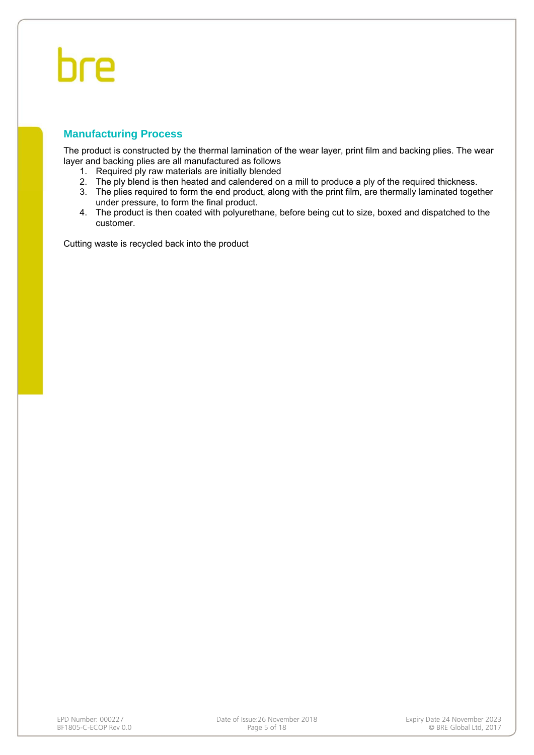#### **Manufacturing Process**

The product is constructed by the thermal lamination of the wear layer, print film and backing plies. The wear layer and backing plies are all manufactured as follows

- 1. Required ply raw materials are initially blended
- 2. The ply blend is then heated and calendered on a mill to produce a ply of the required thickness.
- 3. The plies required to form the end product, along with the print film, are thermally laminated together under pressure, to form the final product.
- 4. The product is then coated with polyurethane, before being cut to size, boxed and dispatched to the customer.

Cutting waste is recycled back into the product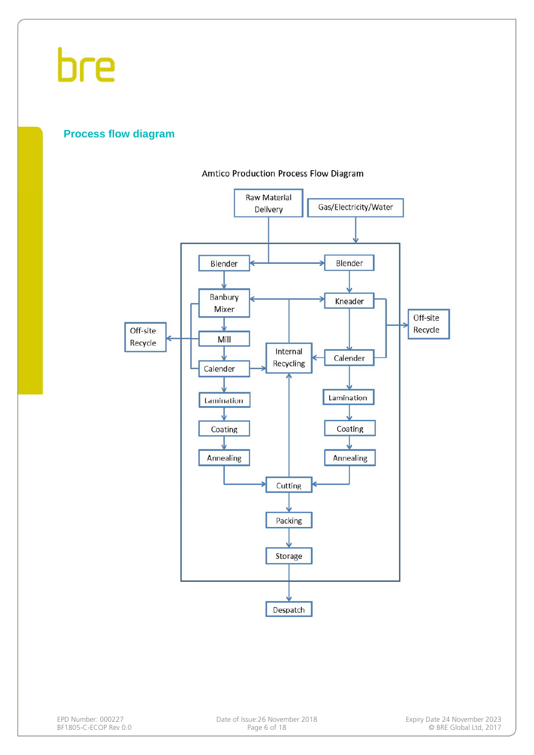

#### **Process flow diagram**

#### **Amtico Production Process Flow Diagram**

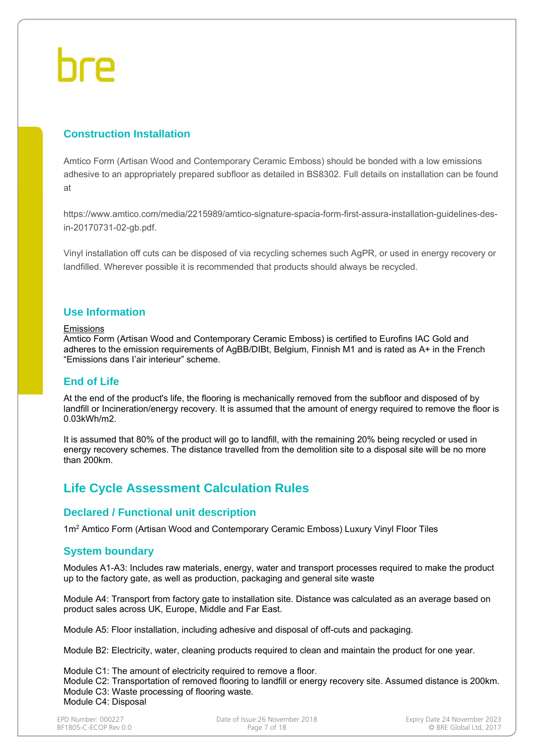### **Construction Installation**

Amtico Form (Artisan Wood and Contemporary Ceramic Emboss) should be bonded with a low emissions adhesive to an appropriately prepared subfloor as detailed in BS8302. Full details on installation can be found at

https://www.amtico.com/media/2215989/amtico-signature-spacia-form-first-assura-installation-guidelines-desin-20170731-02-gb.pdf.

Vinyl installation off cuts can be disposed of via recycling schemes such AgPR, or used in energy recovery or landfilled. Wherever possible it is recommended that products should always be recycled.

#### **Use Information**

#### Emissions

Amtico Form (Artisan Wood and Contemporary Ceramic Emboss) is certified to Eurofins IAC Gold and adheres to the emission requirements of AgBB/DIBt, Belgium, Finnish M1 and is rated as A+ in the French "Emissions dans I'air interieur" scheme.

#### **End of Life**

At the end of the product's life, the flooring is mechanically removed from the subfloor and disposed of by landfill or Incineration/energy recovery. It is assumed that the amount of energy required to remove the floor is 0.03kWh/m2.

It is assumed that 80% of the product will go to landfill, with the remaining 20% being recycled or used in energy recovery schemes. The distance travelled from the demolition site to a disposal site will be no more than 200km.

### **Life Cycle Assessment Calculation Rules**

#### **Declared / Functional unit description**

1m<sup>2</sup> Amtico Form (Artisan Wood and Contemporary Ceramic Emboss) Luxury Vinyl Floor Tiles

#### **System boundary**

Modules A1-A3: Includes raw materials, energy, water and transport processes required to make the product up to the factory gate, as well as production, packaging and general site waste

Module A4: Transport from factory gate to installation site. Distance was calculated as an average based on product sales across UK, Europe, Middle and Far East.

Module A5: Floor installation, including adhesive and disposal of off-cuts and packaging.

Module B2: Electricity, water, cleaning products required to clean and maintain the product for one year.

Module C1: The amount of electricity required to remove a floor. Module C2: Transportation of removed flooring to landfill or energy recovery site. Assumed distance is 200km. Module C3: Waste processing of flooring waste. Module C4: Disposal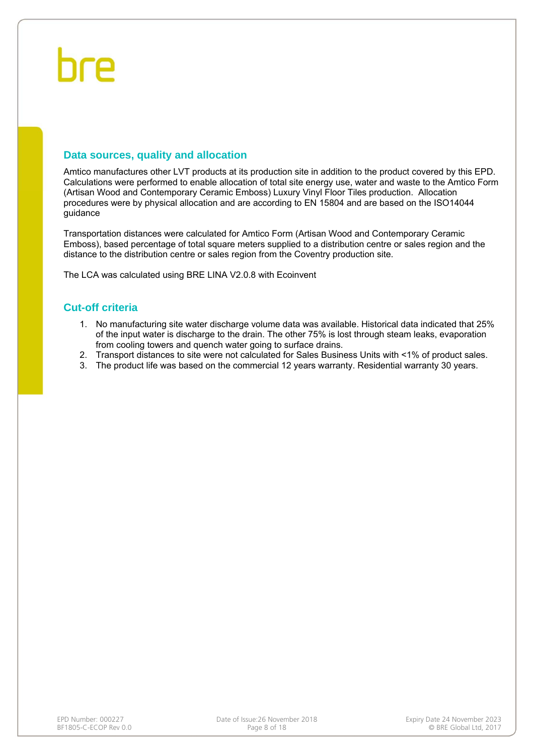#### **Data sources, quality and allocation**

Amtico manufactures other LVT products at its production site in addition to the product covered by this EPD. Calculations were performed to enable allocation of total site energy use, water and waste to the Amtico Form (Artisan Wood and Contemporary Ceramic Emboss) Luxury Vinyl Floor Tiles production. Allocation procedures were by physical allocation and are according to EN 15804 and are based on the ISO14044 guidance

Transportation distances were calculated for Amtico Form (Artisan Wood and Contemporary Ceramic Emboss), based percentage of total square meters supplied to a distribution centre or sales region and the distance to the distribution centre or sales region from the Coventry production site.

The LCA was calculated using BRE LINA V2.0.8 with Ecoinvent

#### **Cut-off criteria**

- 1. No manufacturing site water discharge volume data was available. Historical data indicated that 25% of the input water is discharge to the drain. The other 75% is lost through steam leaks, evaporation from cooling towers and quench water going to surface drains.
- 2. Transport distances to site were not calculated for Sales Business Units with <1% of product sales.
- 3. The product life was based on the commercial 12 years warranty. Residential warranty 30 years.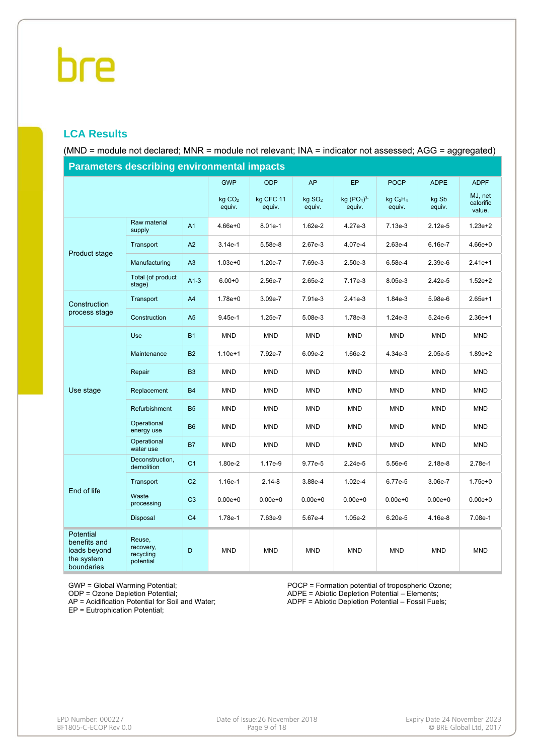### **LCA Results**

(MND = module not declared; MNR = module not relevant; INA = indicator not assessed; AGG = aggregated)

| Parameters describing environmental impacts                           |                                               |                |                              |                     |                              |                        |                                            |                 |                                |  |  |
|-----------------------------------------------------------------------|-----------------------------------------------|----------------|------------------------------|---------------------|------------------------------|------------------------|--------------------------------------------|-----------------|--------------------------------|--|--|
|                                                                       |                                               |                | <b>GWP</b>                   | <b>ODP</b>          | AP                           | EP                     | <b>POCP</b>                                | <b>ADPE</b>     | <b>ADPF</b>                    |  |  |
|                                                                       |                                               |                | kg CO <sub>2</sub><br>equiv. | kg CFC 11<br>equiv. | kg SO <sub>2</sub><br>equiv. | kg $(PO4)3-$<br>equiv. | kg C <sub>2</sub> H <sub>4</sub><br>equiv. | kg Sb<br>equiv. | MJ, net<br>calorific<br>value. |  |  |
|                                                                       | Raw material<br>supply                        | A <sub>1</sub> | $4.66e + 0$                  | 8.01e-1             | 1.62e-2                      | 4.27e-3                | 7.13e-3                                    | $2.12e-5$       | $1.23e+2$                      |  |  |
| Product stage                                                         | Transport                                     | A2             | $3.14e-1$                    | 5.58e-8             | 2.67e-3                      | 4.07e-4                | 2.63e-4                                    | 6.16e-7         | $4.66e + 0$                    |  |  |
|                                                                       | Manufacturing                                 | A3             | $1.03e + 0$                  | 1.20e-7             | 7.69e-3                      | 2.50e-3                | 6.58e-4                                    | 2.39e-6         | $2.41e+1$                      |  |  |
|                                                                       | Total (of product<br>stage)                   | $A1-3$         | $6.00 + 0$                   | 2.56e-7             | 2.65e-2                      | 7.17e-3                | 8.05e-3                                    | 2.42e-5         | $1.52e + 2$                    |  |  |
| Construction                                                          | Transport                                     | A4             | $1.78e + 0$                  | 3.09e-7             | 7.91e-3                      | 2.41e-3                | 1.84e-3                                    | 5.98e-6         | $2.65e+1$                      |  |  |
| process stage                                                         | Construction                                  | A <sub>5</sub> | $9.45e-1$                    | 1.25e-7             | 5.08e-3                      | 1.78e-3                | $1.24e-3$                                  | $5.24e-6$       | $2.36e+1$                      |  |  |
|                                                                       | Use                                           | <b>B1</b>      | <b>MND</b>                   | <b>MND</b>          | <b>MND</b>                   | <b>MND</b>             | <b>MND</b>                                 | <b>MND</b>      | <b>MND</b>                     |  |  |
|                                                                       | Maintenance                                   | <b>B2</b>      | $1.10e+1$                    | 7.92e-7             | 6.09e-2                      | 1.66e-2                | 4.34e-3                                    | 2.05e-5         | $1.89e + 2$                    |  |  |
|                                                                       | Repair                                        | B <sub>3</sub> | <b>MND</b>                   | <b>MND</b>          | <b>MND</b>                   | <b>MND</b>             | <b>MND</b>                                 | <b>MND</b>      | <b>MND</b>                     |  |  |
| Use stage                                                             | Replacement                                   | <b>B4</b>      | <b>MND</b>                   | <b>MND</b>          | <b>MND</b>                   | <b>MND</b>             | <b>MND</b>                                 | <b>MND</b>      | <b>MND</b>                     |  |  |
|                                                                       | Refurbishment                                 | <b>B5</b>      | <b>MND</b>                   | <b>MND</b>          | <b>MND</b>                   | <b>MND</b>             | <b>MND</b>                                 | <b>MND</b>      | <b>MND</b>                     |  |  |
|                                                                       | Operational<br>energy use                     | <b>B6</b>      | <b>MND</b>                   | <b>MND</b>          | <b>MND</b>                   | <b>MND</b>             | <b>MND</b>                                 | <b>MND</b>      | <b>MND</b>                     |  |  |
|                                                                       | Operational<br>water use                      | <b>B7</b>      | <b>MND</b>                   | <b>MND</b>          | <b>MND</b>                   | <b>MND</b>             | <b>MND</b>                                 | <b>MND</b>      | <b>MND</b>                     |  |  |
|                                                                       | Deconstruction,<br>demolition                 | C <sub>1</sub> | 1.80e-2                      | 1.17e-9             | 9.77e-5                      | 2.24e-5                | 5.56e-6                                    | $2.18e-8$       | 2.78e-1                        |  |  |
|                                                                       | Transport                                     | C <sub>2</sub> | 1.16e-1                      | $2.14 - 8$          | 3.88e-4                      | $1.02e-4$              | 6.77e-5                                    | 3.06e-7         | $1.75e + 0$                    |  |  |
| End of life                                                           | Waste<br>processing                           | C <sub>3</sub> | $0.00e + 0$                  | $0.00e + 0$         | $0.00e + 0$                  | $0.00e + 0$            | $0.00e + 0$                                | $0.00e + 0$     | $0.00e + 0$                    |  |  |
|                                                                       | Disposal                                      | C <sub>4</sub> | 1.78e-1                      | 7.63e-9             | 5.67e-4                      | 1.05e-2                | 6.20e-5                                    | 4.16e-8         | 7.08e-1                        |  |  |
| Potential<br>benefits and<br>loads beyond<br>the system<br>boundaries | Reuse,<br>recovery,<br>recycling<br>potential | D              | <b>MND</b>                   | <b>MND</b>          | <b>MND</b>                   | <b>MND</b>             | <b>MND</b>                                 | <b>MND</b>      | <b>MND</b>                     |  |  |

**Parameters describing environmental impacts**

GWP = Global Warming Potential;

ODP = Ozone Depletion Potential;

AP = Acidification Potential for Soil and Water;

EP = Eutrophication Potential;

POCP = Formation potential of tropospheric Ozone; ADPE = Abiotic Depletion Potential – Elements; ADPF = Abiotic Depletion Potential – Fossil Fuels;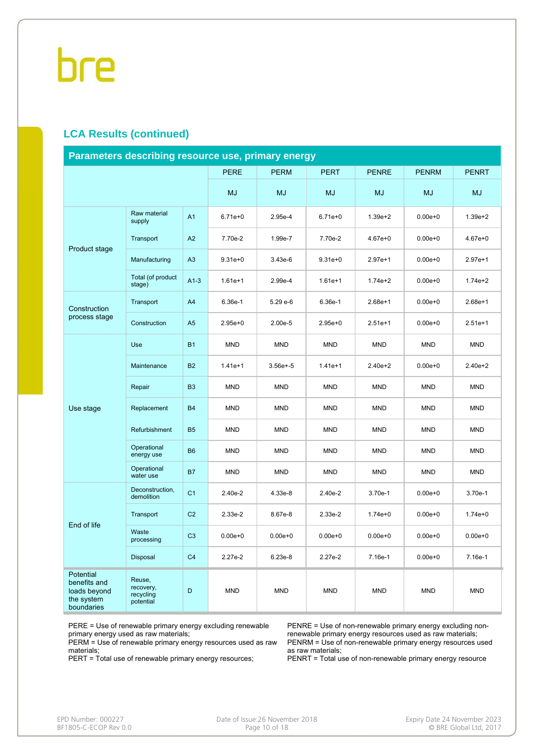#### **LCA Results (continued)**

| Parameters describing resource use, primary energy                    |                                               |                |             |              |             |              |              |              |  |  |  |  |
|-----------------------------------------------------------------------|-----------------------------------------------|----------------|-------------|--------------|-------------|--------------|--------------|--------------|--|--|--|--|
|                                                                       |                                               |                | <b>PERE</b> | <b>PERM</b>  | <b>PERT</b> | <b>PENRE</b> | <b>PENRM</b> | <b>PENRT</b> |  |  |  |  |
|                                                                       |                                               |                | <b>MJ</b>   | <b>MJ</b>    | MJ          | <b>MJ</b>    | MJ           | MJ           |  |  |  |  |
|                                                                       | Raw material<br>supply                        | A1             | $6.71e+0$   | 2.95e-4      | $6.71e+0$   | $1.39e + 2$  | $0.00e + 0$  | $1.39e + 2$  |  |  |  |  |
| Product stage                                                         | Transport                                     | A2             | 7.70e-2     | 1.99e-7      | 7.70e-2     | $4.67e + 0$  | $0.00e + 0$  | $4.67e + 0$  |  |  |  |  |
|                                                                       | Manufacturing                                 | A3             | $9.31e + 0$ | $3.43e-6$    | $9.31e + 0$ | $2.97e+1$    | $0.00e + 0$  | $2.97e+1$    |  |  |  |  |
|                                                                       | Total (of product<br>stage)                   | $A1-3$         | $1.61e+1$   | 2.99e-4      | $1.61e+1$   | $1.74e + 2$  | $0.00e + 0$  | $1.74e + 2$  |  |  |  |  |
| Construction                                                          | Transport                                     | A <sub>4</sub> | 6.36e-1     | 5.29 e-6     | 6.36e-1     | $2.68e+1$    | $0.00e + 0$  | $2.68e+1$    |  |  |  |  |
| process stage                                                         | Construction                                  | A <sub>5</sub> | $2.95e + 0$ | 2.00e-5      | $2.95e+0$   | $2.51e+1$    | $0.00e + 0$  | $2.51e+1$    |  |  |  |  |
|                                                                       | Use                                           | <b>B1</b>      | <b>MND</b>  | <b>MND</b>   | <b>MND</b>  | <b>MND</b>   | <b>MND</b>   | <b>MND</b>   |  |  |  |  |
|                                                                       | Maintenance                                   | <b>B2</b>      | $1.41e+1$   | $3.56e + -5$ | $1.41e+1$   | $2.40e + 2$  | $0.00e + 0$  | $2.40e + 2$  |  |  |  |  |
|                                                                       | Repair                                        | B <sub>3</sub> | <b>MND</b>  | <b>MND</b>   | <b>MND</b>  | <b>MND</b>   | <b>MND</b>   | <b>MND</b>   |  |  |  |  |
| Use stage                                                             | Replacement                                   | <b>B4</b>      | <b>MND</b>  | <b>MND</b>   | <b>MND</b>  | <b>MND</b>   | <b>MND</b>   | <b>MND</b>   |  |  |  |  |
|                                                                       | Refurbishment                                 | <b>B5</b>      | <b>MND</b>  | <b>MND</b>   | <b>MND</b>  | <b>MND</b>   | <b>MND</b>   | <b>MND</b>   |  |  |  |  |
|                                                                       | Operational<br>energy use                     | <b>B6</b>      | <b>MND</b>  | <b>MND</b>   | <b>MND</b>  | <b>MND</b>   | <b>MND</b>   | <b>MND</b>   |  |  |  |  |
|                                                                       | Operational<br>water use                      | <b>B7</b>      | <b>MND</b>  | <b>MND</b>   | <b>MND</b>  | <b>MND</b>   | <b>MND</b>   | <b>MND</b>   |  |  |  |  |
|                                                                       | Deconstruction,<br>demolition                 | C <sub>1</sub> | 2.40e-2     | 4.33e-8      | 2.40e-2     | $3.70e-1$    | $0.00e + 0$  | 3.70e-1      |  |  |  |  |
| End of life                                                           | Transport                                     | C <sub>2</sub> | 2.33e-2     | 8.67e-8      | 2.33e-2     | $1.74e + 0$  | $0.00e + 0$  | $1.74e + 0$  |  |  |  |  |
|                                                                       | Waste<br>processing                           | C <sub>3</sub> | $0.00e + 0$ | $0.00e + 0$  | $0.00e + 0$ | $0.00e + 0$  | $0.00e + 0$  | $0.00e + 0$  |  |  |  |  |
|                                                                       | Disposal                                      | C <sub>4</sub> | 2.27e-2     | 6.23e-8      | 2.27e-2     | 7.16e-1      | $0.00e + 0$  | 7.16e-1      |  |  |  |  |
| Potential<br>benefits and<br>loads beyond<br>the system<br>boundaries | Reuse,<br>recovery,<br>recycling<br>potential | D              | <b>MND</b>  | <b>MND</b>   | <b>MND</b>  | <b>MND</b>   | <b>MND</b>   | <b>MND</b>   |  |  |  |  |

PERE = Use of renewable primary energy excluding renewable primary energy used as raw materials;

PERM = Use of renewable primary energy resources used as raw materials;

PERT = Total use of renewable primary energy resources;

PENRE = Use of non-renewable primary energy excluding nonrenewable primary energy resources used as raw materials; PENRM = Use of non-renewable primary energy resources used as raw materials;

PENRT = Total use of non-renewable primary energy resource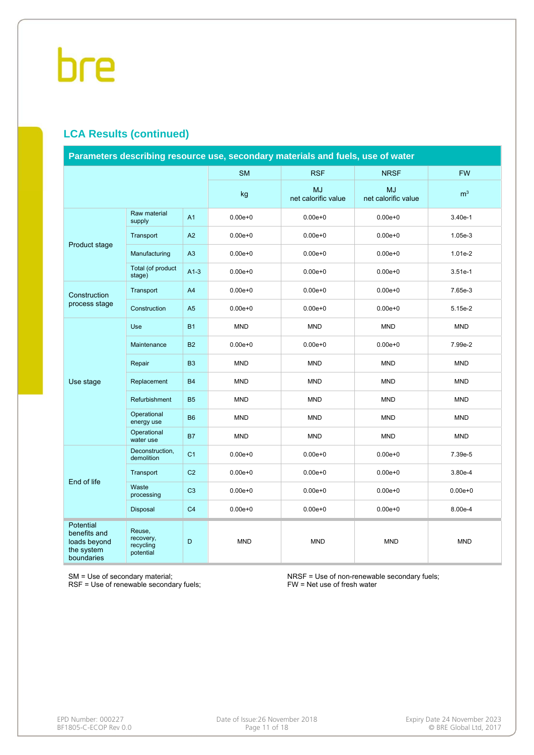### **LCA Results (continued)**

| Parameters describing resource use, secondary materials and fuels, use of water |                                               |                |             |                                  |                                  |                |  |  |  |
|---------------------------------------------------------------------------------|-----------------------------------------------|----------------|-------------|----------------------------------|----------------------------------|----------------|--|--|--|
|                                                                                 |                                               |                | <b>SM</b>   | <b>RSF</b>                       | <b>NRSF</b>                      | <b>FW</b>      |  |  |  |
|                                                                                 |                                               |                | kg          | <b>MJ</b><br>net calorific value | <b>MJ</b><br>net calorific value | m <sup>3</sup> |  |  |  |
|                                                                                 | Raw material<br>supply                        | A <sub>1</sub> | $0.00e + 0$ | $0.00e + 0$                      | $0.00e + 0$                      | 3.40e-1        |  |  |  |
| Product stage                                                                   | Transport                                     | A2             | $0.00e + 0$ | $0.00e + 0$                      | $0.00e + 0$                      | 1.05e-3        |  |  |  |
|                                                                                 | Manufacturing                                 | A3             | $0.00e + 0$ | $0.00e + 0$                      | $0.00e + 0$                      | $1.01e-2$      |  |  |  |
|                                                                                 | Total (of product<br>stage)                   | $A1-3$         | $0.00e + 0$ | $0.00e + 0$                      | $0.00e + 0$                      | $3.51e-1$      |  |  |  |
| Construction                                                                    | Transport                                     | A4             | $0.00e + 0$ | $0.00e + 0$                      | $0.00e + 0$                      | 7.65e-3        |  |  |  |
| process stage                                                                   | Construction                                  | A <sub>5</sub> | $0.00e + 0$ | $0.00e + 0$                      | $0.00e + 0$                      | 5.15e-2        |  |  |  |
|                                                                                 | <b>Use</b>                                    | <b>B1</b>      | <b>MND</b>  | <b>MND</b>                       | <b>MND</b>                       | <b>MND</b>     |  |  |  |
|                                                                                 | Maintenance                                   | <b>B2</b>      | $0.00e + 0$ | $0.00e + 0$                      | $0.00e + 0$                      | 7.99e-2        |  |  |  |
|                                                                                 | Repair                                        | B <sub>3</sub> | <b>MND</b>  | <b>MND</b>                       | <b>MND</b>                       | <b>MND</b>     |  |  |  |
| Use stage                                                                       | Replacement                                   | <b>B4</b>      | <b>MND</b>  | <b>MND</b>                       | <b>MND</b>                       | <b>MND</b>     |  |  |  |
|                                                                                 | Refurbishment                                 | <b>B5</b>      | <b>MND</b>  | <b>MND</b>                       | <b>MND</b>                       | <b>MND</b>     |  |  |  |
|                                                                                 | Operational<br>energy use                     | <b>B6</b>      | <b>MND</b>  | <b>MND</b>                       | <b>MND</b>                       | <b>MND</b>     |  |  |  |
|                                                                                 | Operational<br>water use                      | <b>B7</b>      | <b>MND</b>  | <b>MND</b>                       | <b>MND</b>                       | <b>MND</b>     |  |  |  |
|                                                                                 | Deconstruction,<br>demolition                 | C <sub>1</sub> | $0.00e + 0$ | $0.00e + 0$                      | $0.00e + 0$                      | 7.39e-5        |  |  |  |
| End of life                                                                     | Transport                                     | C <sub>2</sub> | $0.00e + 0$ | $0.00e + 0$                      | $0.00e + 0$                      | 3.80e-4        |  |  |  |
|                                                                                 | Waste<br>processing                           | C <sub>3</sub> | $0.00e + 0$ | $0.00e + 0$                      | $0.00e + 0$                      | $0.00e + 0$    |  |  |  |
|                                                                                 | Disposal                                      | C <sub>4</sub> | $0.00e + 0$ | $0.00e + 0$                      | $0.00e + 0$                      | 8.00e-4        |  |  |  |
| <b>Potential</b><br>benefits and<br>loads beyond<br>the system<br>boundaries    | Reuse,<br>recovery,<br>recycling<br>potential | D              | <b>MND</b>  | <b>MND</b>                       | <b>MND</b>                       | <b>MND</b>     |  |  |  |

SM = Use of secondary material;

RSF = Use of renewable secondary fuels;

NRSF = Use of non-renewable secondary fuels; FW = Net use of fresh water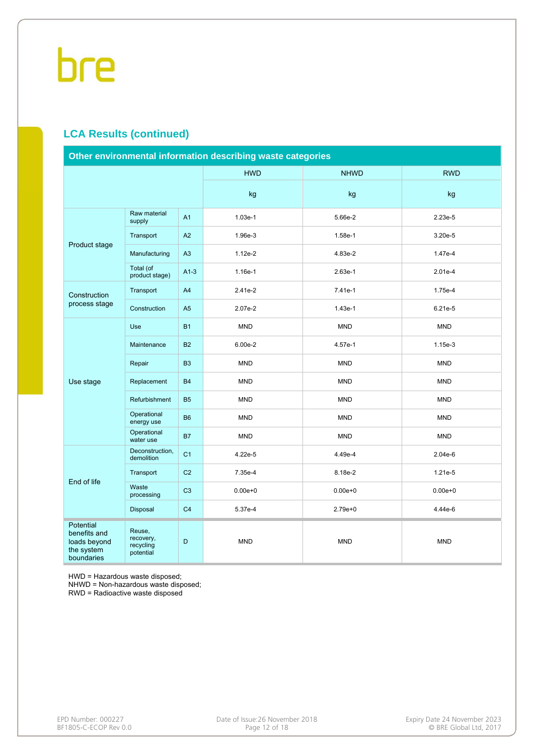### **LCA Results (continued)**

| Other environmental information describing waste categories                  |                                               |                |             |             |             |  |  |  |  |
|------------------------------------------------------------------------------|-----------------------------------------------|----------------|-------------|-------------|-------------|--|--|--|--|
|                                                                              |                                               |                | <b>HWD</b>  | <b>NHWD</b> | <b>RWD</b>  |  |  |  |  |
|                                                                              |                                               |                | kg          | kg          | kg          |  |  |  |  |
|                                                                              | Raw material<br>supply                        | A <sub>1</sub> | $1.03e-1$   | 5.66e-2     | 2.23e-5     |  |  |  |  |
| Product stage                                                                | Transport                                     | A2             | 1.96e-3     | 1.58e-1     | 3.20e-5     |  |  |  |  |
|                                                                              | Manufacturing                                 | A3             | $1.12e-2$   | 4.83e-2     | 1.47e-4     |  |  |  |  |
|                                                                              | Total (of<br>product stage)                   | $A1-3$         | $1.16e-1$   | 2.63e-1     | $2.01e-4$   |  |  |  |  |
| Construction                                                                 | Transport                                     | A4             | 2.41e-2     | 7.41e-1     | 1.75e-4     |  |  |  |  |
| process stage                                                                | Construction                                  | A <sub>5</sub> | 2.07e-2     | $1.43e-1$   | 6.21e-5     |  |  |  |  |
|                                                                              | <b>Use</b>                                    | <b>B1</b>      | <b>MND</b>  | <b>MND</b>  | <b>MND</b>  |  |  |  |  |
|                                                                              | Maintenance                                   | <b>B2</b>      | $6.00e-2$   | 4.57e-1     | 1.15e-3     |  |  |  |  |
|                                                                              | Repair                                        | B <sub>3</sub> | <b>MND</b>  | <b>MND</b>  | <b>MND</b>  |  |  |  |  |
| Use stage                                                                    | Replacement                                   | <b>B4</b>      | <b>MND</b>  | <b>MND</b>  | <b>MND</b>  |  |  |  |  |
|                                                                              | Refurbishment                                 | <b>B5</b>      | <b>MND</b>  | <b>MND</b>  | <b>MND</b>  |  |  |  |  |
|                                                                              | Operational<br>energy use                     | <b>B6</b>      | <b>MND</b>  | <b>MND</b>  | <b>MND</b>  |  |  |  |  |
|                                                                              | Operational<br>water use                      | <b>B7</b>      | <b>MND</b>  | <b>MND</b>  | <b>MND</b>  |  |  |  |  |
|                                                                              | Deconstruction.<br>demolition                 | C <sub>1</sub> | 4.22e-5     | 4.49e-4     | 2.04e-6     |  |  |  |  |
| End of life                                                                  | Transport                                     | C <sub>2</sub> | 7.35e-4     | 8.18e-2     | 1.21e-5     |  |  |  |  |
|                                                                              | Waste<br>processing                           | C <sub>3</sub> | $0.00e + 0$ | $0.00e + 0$ | $0.00e + 0$ |  |  |  |  |
|                                                                              | Disposal                                      | C <sub>4</sub> | 5.37e-4     | $2.79e+0$   | 4.44e-6     |  |  |  |  |
| <b>Potential</b><br>benefits and<br>loads beyond<br>the system<br>boundaries | Reuse,<br>recovery,<br>recycling<br>potential | D              | <b>MND</b>  | <b>MND</b>  | <b>MND</b>  |  |  |  |  |

HWD = Hazardous waste disposed;

NHWD = Non-hazardous waste disposed;

RWD = Radioactive waste disposed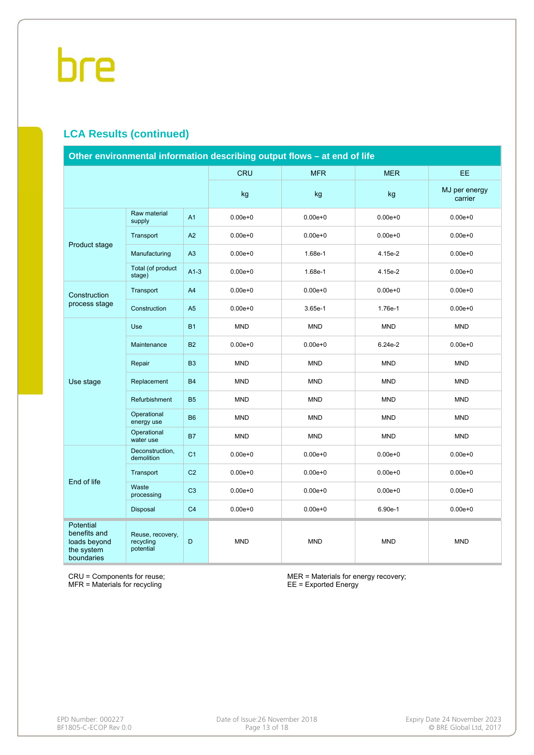### **LCA Results (continued)**

| Other environmental information describing output flows - at end of life |                                            |                |             |             |             |                          |  |  |  |  |
|--------------------------------------------------------------------------|--------------------------------------------|----------------|-------------|-------------|-------------|--------------------------|--|--|--|--|
|                                                                          |                                            |                | <b>CRU</b>  | <b>MFR</b>  | <b>MER</b>  | EE.                      |  |  |  |  |
|                                                                          |                                            |                | kg          | kg          | kg          | MJ per energy<br>carrier |  |  |  |  |
|                                                                          | Raw material<br>supply                     | A <sub>1</sub> | $0.00e + 0$ | $0.00e + 0$ | $0.00e + 0$ | $0.00e + 0$              |  |  |  |  |
| Product stage                                                            | Transport                                  | A2             | $0.00e + 0$ | $0.00e + 0$ | $0.00e + 0$ | $0.00e + 0$              |  |  |  |  |
|                                                                          | Manufacturing                              | A <sub>3</sub> | $0.00e + 0$ | 1.68e-1     | 4.15e-2     | $0.00e + 0$              |  |  |  |  |
|                                                                          | Total (of product<br>stage)                | $A1-3$         | $0.00e + 0$ | 1.68e-1     | 4.15e-2     | $0.00e + 0$              |  |  |  |  |
| Construction                                                             | Transport                                  | A4             | $0.00e + 0$ | $0.00e + 0$ | $0.00e + 0$ | $0.00e + 0$              |  |  |  |  |
| process stage                                                            | Construction                               | A <sub>5</sub> | $0.00e + 0$ | 3.65e-1     | 1.76e-1     | $0.00e + 0$              |  |  |  |  |
|                                                                          | Use                                        | <b>B1</b>      | <b>MND</b>  | <b>MND</b>  | <b>MND</b>  | <b>MND</b>               |  |  |  |  |
|                                                                          | Maintenance                                | <b>B2</b>      | $0.00e + 0$ | $0.00e + 0$ |             | $0.00e + 0$              |  |  |  |  |
|                                                                          | Repair                                     | <b>B3</b>      | <b>MND</b>  | <b>MND</b>  | <b>MND</b>  | <b>MND</b>               |  |  |  |  |
| Use stage                                                                | Replacement                                | <b>B4</b>      | <b>MND</b>  | <b>MND</b>  | <b>MND</b>  | <b>MND</b>               |  |  |  |  |
|                                                                          | Refurbishment                              | <b>B5</b>      | <b>MND</b>  | <b>MND</b>  | <b>MND</b>  | <b>MND</b>               |  |  |  |  |
|                                                                          | Operational<br>energy use                  | <b>B6</b>      | <b>MND</b>  | <b>MND</b>  | <b>MND</b>  | <b>MND</b>               |  |  |  |  |
|                                                                          | Operational<br>water use                   | <b>B7</b>      | <b>MND</b>  | <b>MND</b>  | <b>MND</b>  | <b>MND</b>               |  |  |  |  |
|                                                                          | Deconstruction,<br>demolition              | C <sub>1</sub> | $0.00e + 0$ | $0.00e + 0$ | $0.00e + 0$ | $0.00e + 0$              |  |  |  |  |
| End of life                                                              | Transport                                  | C <sub>2</sub> | $0.00e + 0$ | $0.00e + 0$ | $0.00e + 0$ | $0.00e + 0$              |  |  |  |  |
|                                                                          | Waste<br>processing                        | C <sub>3</sub> | $0.00e + 0$ | $0.00e + 0$ | $0.00e + 0$ | $0.00e + 0$              |  |  |  |  |
|                                                                          | Disposal                                   | C <sub>4</sub> | $0.00e + 0$ | $0.00e + 0$ | 6.90e-1     | $0.00e + 0$              |  |  |  |  |
| Potential<br>benefits and<br>loads beyond<br>the system<br>boundaries    | Reuse, recovery,<br>recycling<br>potential | D              | <b>MND</b>  | <b>MND</b>  | <b>MND</b>  | <b>MND</b>               |  |  |  |  |

CRU = Components for reuse; MFR = Materials for recycling

MER = Materials for energy recovery; EE = Exported Energy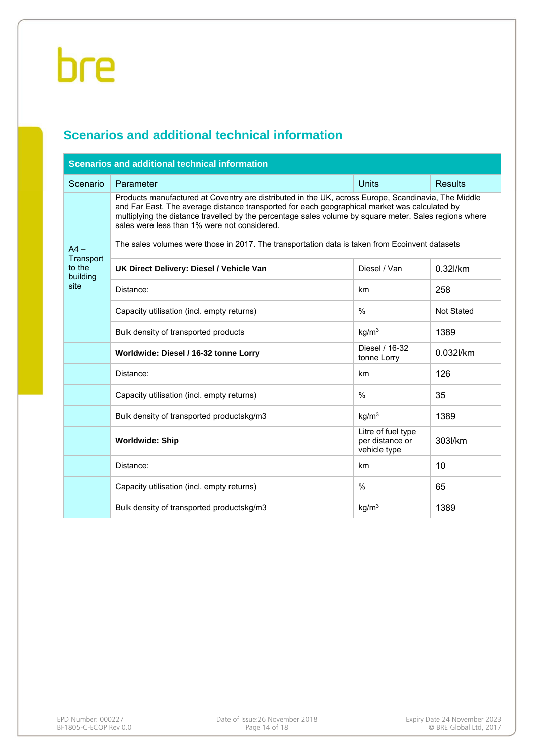# **Scenarios and additional technical information**

| <b>Scenarios and additional technical information</b> |                                                                                                                                                                                                                                                                                                                                                                                                                                                                  |                                                       |                   |  |  |  |  |  |  |  |  |
|-------------------------------------------------------|------------------------------------------------------------------------------------------------------------------------------------------------------------------------------------------------------------------------------------------------------------------------------------------------------------------------------------------------------------------------------------------------------------------------------------------------------------------|-------------------------------------------------------|-------------------|--|--|--|--|--|--|--|--|
| Scenario                                              | <b>Units</b><br>Parameter<br><b>Results</b>                                                                                                                                                                                                                                                                                                                                                                                                                      |                                                       |                   |  |  |  |  |  |  |  |  |
| $AA -$<br>Transport                                   | Products manufactured at Coventry are distributed in the UK, across Europe, Scandinavia, The Middle<br>and Far East. The average distance transported for each geographical market was calculated by<br>multiplying the distance travelled by the percentage sales volume by square meter. Sales regions where<br>sales were less than 1% were not considered.<br>The sales volumes were those in 2017. The transportation data is taken from Ecoinvent datasets |                                                       |                   |  |  |  |  |  |  |  |  |
| to the<br>building                                    | UK Direct Delivery: Diesel / Vehicle Van                                                                                                                                                                                                                                                                                                                                                                                                                         | Diesel / Van                                          | 0.32l/km          |  |  |  |  |  |  |  |  |
| site                                                  | Distance:                                                                                                                                                                                                                                                                                                                                                                                                                                                        | km                                                    | 258               |  |  |  |  |  |  |  |  |
|                                                       | Capacity utilisation (incl. empty returns)                                                                                                                                                                                                                                                                                                                                                                                                                       | $\frac{0}{0}$                                         | <b>Not Stated</b> |  |  |  |  |  |  |  |  |
|                                                       | Bulk density of transported products                                                                                                                                                                                                                                                                                                                                                                                                                             | kg/m <sup>3</sup>                                     | 1389              |  |  |  |  |  |  |  |  |
|                                                       | Worldwide: Diesel / 16-32 tonne Lorry                                                                                                                                                                                                                                                                                                                                                                                                                            | Diesel / 16-32<br>tonne Lorry                         | 0.032l/km         |  |  |  |  |  |  |  |  |
|                                                       | Distance:                                                                                                                                                                                                                                                                                                                                                                                                                                                        | km                                                    | 126               |  |  |  |  |  |  |  |  |
|                                                       | Capacity utilisation (incl. empty returns)                                                                                                                                                                                                                                                                                                                                                                                                                       | $\%$                                                  | 35                |  |  |  |  |  |  |  |  |
|                                                       | Bulk density of transported productskg/m3                                                                                                                                                                                                                                                                                                                                                                                                                        | kg/m <sup>3</sup>                                     | 1389              |  |  |  |  |  |  |  |  |
|                                                       | <b>Worldwide: Ship</b>                                                                                                                                                                                                                                                                                                                                                                                                                                           | Litre of fuel type<br>per distance or<br>vehicle type | 303l/km           |  |  |  |  |  |  |  |  |
|                                                       | Distance:                                                                                                                                                                                                                                                                                                                                                                                                                                                        | km                                                    | 10                |  |  |  |  |  |  |  |  |
|                                                       | Capacity utilisation (incl. empty returns)                                                                                                                                                                                                                                                                                                                                                                                                                       | $\%$                                                  | 65                |  |  |  |  |  |  |  |  |
|                                                       | Bulk density of transported productskg/m3                                                                                                                                                                                                                                                                                                                                                                                                                        | kg/m <sup>3</sup>                                     | 1389              |  |  |  |  |  |  |  |  |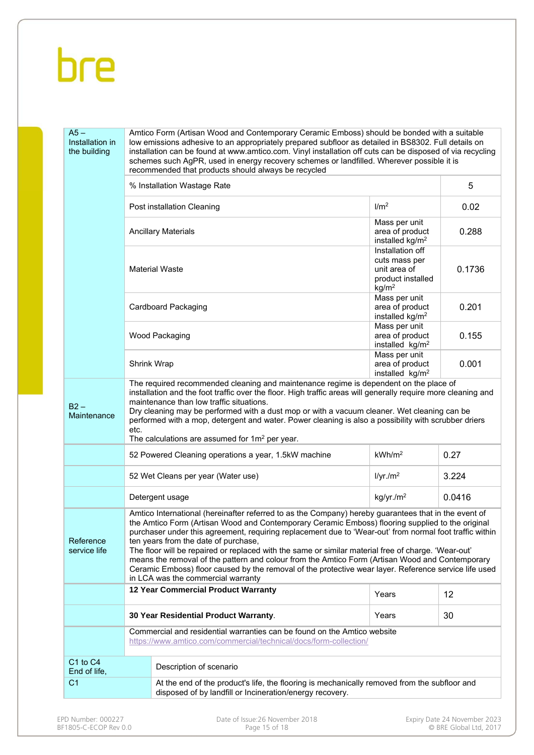| % Installation Wastage Rate                                                                                                                                                                                                                                                                                                                                                                                                                                                                                                                                                                                                                                                                                 |                         |                                                                                                                                                                                                                                                                                                                                                                                                                                                                                                                                  |                                                                                                                                                                                                                                                                                                                                                                                                                                                                                                                                                                                                                                                                                                                                                                                                                                                                                                                                                                                                                                                                                        |  |  |  |  |
|-------------------------------------------------------------------------------------------------------------------------------------------------------------------------------------------------------------------------------------------------------------------------------------------------------------------------------------------------------------------------------------------------------------------------------------------------------------------------------------------------------------------------------------------------------------------------------------------------------------------------------------------------------------------------------------------------------------|-------------------------|----------------------------------------------------------------------------------------------------------------------------------------------------------------------------------------------------------------------------------------------------------------------------------------------------------------------------------------------------------------------------------------------------------------------------------------------------------------------------------------------------------------------------------|----------------------------------------------------------------------------------------------------------------------------------------------------------------------------------------------------------------------------------------------------------------------------------------------------------------------------------------------------------------------------------------------------------------------------------------------------------------------------------------------------------------------------------------------------------------------------------------------------------------------------------------------------------------------------------------------------------------------------------------------------------------------------------------------------------------------------------------------------------------------------------------------------------------------------------------------------------------------------------------------------------------------------------------------------------------------------------------|--|--|--|--|
|                                                                                                                                                                                                                                                                                                                                                                                                                                                                                                                                                                                                                                                                                                             | 0.02                    |                                                                                                                                                                                                                                                                                                                                                                                                                                                                                                                                  |                                                                                                                                                                                                                                                                                                                                                                                                                                                                                                                                                                                                                                                                                                                                                                                                                                                                                                                                                                                                                                                                                        |  |  |  |  |
|                                                                                                                                                                                                                                                                                                                                                                                                                                                                                                                                                                                                                                                                                                             |                         | Mass per unit<br>area of product<br>installed kg/m <sup>2</sup>                                                                                                                                                                                                                                                                                                                                                                                                                                                                  | 0.288                                                                                                                                                                                                                                                                                                                                                                                                                                                                                                                                                                                                                                                                                                                                                                                                                                                                                                                                                                                                                                                                                  |  |  |  |  |
|                                                                                                                                                                                                                                                                                                                                                                                                                                                                                                                                                                                                                                                                                                             |                         | Installation off<br>cuts mass per<br>unit area of<br>product installed<br>kg/m <sup>2</sup>                                                                                                                                                                                                                                                                                                                                                                                                                                      | 0.1736                                                                                                                                                                                                                                                                                                                                                                                                                                                                                                                                                                                                                                                                                                                                                                                                                                                                                                                                                                                                                                                                                 |  |  |  |  |
|                                                                                                                                                                                                                                                                                                                                                                                                                                                                                                                                                                                                                                                                                                             |                         | Mass per unit<br>area of product<br>installed kg/m <sup>2</sup>                                                                                                                                                                                                                                                                                                                                                                                                                                                                  | 0.201                                                                                                                                                                                                                                                                                                                                                                                                                                                                                                                                                                                                                                                                                                                                                                                                                                                                                                                                                                                                                                                                                  |  |  |  |  |
|                                                                                                                                                                                                                                                                                                                                                                                                                                                                                                                                                                                                                                                                                                             |                         | area of product<br>installed kg/m <sup>2</sup>                                                                                                                                                                                                                                                                                                                                                                                                                                                                                   | 0.155                                                                                                                                                                                                                                                                                                                                                                                                                                                                                                                                                                                                                                                                                                                                                                                                                                                                                                                                                                                                                                                                                  |  |  |  |  |
| Shrink Wrap                                                                                                                                                                                                                                                                                                                                                                                                                                                                                                                                                                                                                                                                                                 |                         |                                                                                                                                                                                                                                                                                                                                                                                                                                                                                                                                  |                                                                                                                                                                                                                                                                                                                                                                                                                                                                                                                                                                                                                                                                                                                                                                                                                                                                                                                                                                                                                                                                                        |  |  |  |  |
| etc.                                                                                                                                                                                                                                                                                                                                                                                                                                                                                                                                                                                                                                                                                                        |                         |                                                                                                                                                                                                                                                                                                                                                                                                                                                                                                                                  |                                                                                                                                                                                                                                                                                                                                                                                                                                                                                                                                                                                                                                                                                                                                                                                                                                                                                                                                                                                                                                                                                        |  |  |  |  |
|                                                                                                                                                                                                                                                                                                                                                                                                                                                                                                                                                                                                                                                                                                             |                         | kWh/m <sup>2</sup>                                                                                                                                                                                                                                                                                                                                                                                                                                                                                                               | 0.27                                                                                                                                                                                                                                                                                                                                                                                                                                                                                                                                                                                                                                                                                                                                                                                                                                                                                                                                                                                                                                                                                   |  |  |  |  |
|                                                                                                                                                                                                                                                                                                                                                                                                                                                                                                                                                                                                                                                                                                             |                         | I/yr./m <sup>2</sup>                                                                                                                                                                                                                                                                                                                                                                                                                                                                                                             | 3.224                                                                                                                                                                                                                                                                                                                                                                                                                                                                                                                                                                                                                                                                                                                                                                                                                                                                                                                                                                                                                                                                                  |  |  |  |  |
|                                                                                                                                                                                                                                                                                                                                                                                                                                                                                                                                                                                                                                                                                                             |                         | kg/yr./m <sup>2</sup>                                                                                                                                                                                                                                                                                                                                                                                                                                                                                                            | 0.0416                                                                                                                                                                                                                                                                                                                                                                                                                                                                                                                                                                                                                                                                                                                                                                                                                                                                                                                                                                                                                                                                                 |  |  |  |  |
| Amtico International (hereinafter referred to as the Company) hereby guarantees that in the event of<br>the Amtico Form (Artisan Wood and Contemporary Ceramic Emboss) flooring supplied to the original<br>purchaser under this agreement, requiring replacement due to 'Wear-out' from normal foot traffic within<br>ten years from the date of purchase,<br>Reference<br>service life<br>The floor will be repaired or replaced with the same or similar material free of charge. 'Wear-out'<br>means the removal of the pattern and colour from the Amtico Form (Artisan Wood and Contemporary<br>Ceramic Emboss) floor caused by the removal of the protective wear layer. Reference service life used |                         |                                                                                                                                                                                                                                                                                                                                                                                                                                                                                                                                  |                                                                                                                                                                                                                                                                                                                                                                                                                                                                                                                                                                                                                                                                                                                                                                                                                                                                                                                                                                                                                                                                                        |  |  |  |  |
|                                                                                                                                                                                                                                                                                                                                                                                                                                                                                                                                                                                                                                                                                                             |                         | Years                                                                                                                                                                                                                                                                                                                                                                                                                                                                                                                            | 12                                                                                                                                                                                                                                                                                                                                                                                                                                                                                                                                                                                                                                                                                                                                                                                                                                                                                                                                                                                                                                                                                     |  |  |  |  |
|                                                                                                                                                                                                                                                                                                                                                                                                                                                                                                                                                                                                                                                                                                             |                         | Years                                                                                                                                                                                                                                                                                                                                                                                                                                                                                                                            | 30                                                                                                                                                                                                                                                                                                                                                                                                                                                                                                                                                                                                                                                                                                                                                                                                                                                                                                                                                                                                                                                                                     |  |  |  |  |
|                                                                                                                                                                                                                                                                                                                                                                                                                                                                                                                                                                                                                                                                                                             |                         |                                                                                                                                                                                                                                                                                                                                                                                                                                                                                                                                  |                                                                                                                                                                                                                                                                                                                                                                                                                                                                                                                                                                                                                                                                                                                                                                                                                                                                                                                                                                                                                                                                                        |  |  |  |  |
|                                                                                                                                                                                                                                                                                                                                                                                                                                                                                                                                                                                                                                                                                                             | Description of scenario |                                                                                                                                                                                                                                                                                                                                                                                                                                                                                                                                  |                                                                                                                                                                                                                                                                                                                                                                                                                                                                                                                                                                                                                                                                                                                                                                                                                                                                                                                                                                                                                                                                                        |  |  |  |  |
| End of life,<br>C <sub>1</sub><br>At the end of the product's life, the flooring is mechanically removed from the subfloor and<br>disposed of by landfill or Incineration/energy recovery.                                                                                                                                                                                                                                                                                                                                                                                                                                                                                                                  |                         |                                                                                                                                                                                                                                                                                                                                                                                                                                                                                                                                  |                                                                                                                                                                                                                                                                                                                                                                                                                                                                                                                                                                                                                                                                                                                                                                                                                                                                                                                                                                                                                                                                                        |  |  |  |  |
|                                                                                                                                                                                                                                                                                                                                                                                                                                                                                                                                                                                                                                                                                                             |                         | recommended that products should always be recycled<br>Post installation Cleaning<br><b>Ancillary Materials</b><br><b>Material Waste</b><br>Cardboard Packaging<br>Wood Packaging<br>maintenance than low traffic situations.<br>The calculations are assumed for $1m^2$ per year.<br>52 Powered Cleaning operations a year, 1.5kW machine<br>52 Wet Cleans per year (Water use)<br>Detergent usage<br>in LCA was the commercial warranty<br><b>12 Year Commercial Product Warranty</b><br>30 Year Residential Product Warranty. | Amtico Form (Artisan Wood and Contemporary Ceramic Emboss) should be bonded with a suitable<br>low emissions adhesive to an appropriately prepared subfloor as detailed in BS8302. Full details on<br>installation can be found at www.amtico.com. Vinyl installation off cuts can be disposed of via recycling<br>schemes such AgPR, used in energy recovery schemes or landfilled. Wherever possible it is<br>1/m <sup>2</sup><br>Mass per unit<br>Mass per unit<br>area of product<br>installed kg/m <sup>2</sup><br>The required recommended cleaning and maintenance regime is dependent on the place of<br>installation and the foot traffic over the floor. High traffic areas will generally require more cleaning and<br>Dry cleaning may be performed with a dust mop or with a vacuum cleaner. Wet cleaning can be<br>performed with a mop, detergent and water. Power cleaning is also a possibility with scrubber driers<br>Commercial and residential warranties can be found on the Amtico website<br>https://www.amtico.com/commercial/technical/docs/form-collection/ |  |  |  |  |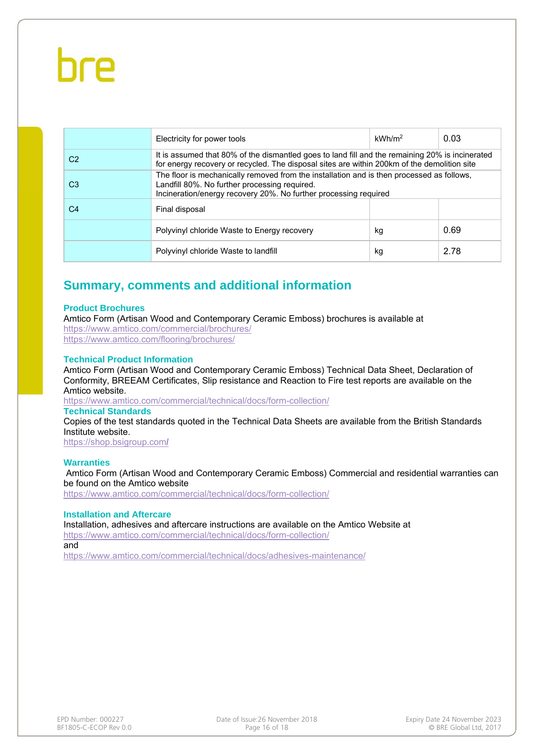|                | Electricity for power tools                                                                                                                                                                                    | kWh/m <sup>2</sup> | 0.03 |
|----------------|----------------------------------------------------------------------------------------------------------------------------------------------------------------------------------------------------------------|--------------------|------|
| C <sub>2</sub> | It is assumed that 80% of the dismantled goes to land fill and the remaining 20% is incinerated<br>for energy recovery or recycled. The disposal sites are within 200km of the demolition site                 |                    |      |
| C3             | The floor is mechanically removed from the installation and is then processed as follows,<br>Landfill 80%. No further processing required.<br>Incineration/energy recovery 20%. No further processing required |                    |      |
| C4             | Final disposal                                                                                                                                                                                                 |                    |      |
|                | Polyvinyl chloride Waste to Energy recovery                                                                                                                                                                    | kg                 | 0.69 |
|                | Polyvinyl chloride Waste to landfill                                                                                                                                                                           | kg                 | 2.78 |

### **Summary, comments and additional information**

#### **Product Brochures**

Amtico Form (Artisan Wood and Contemporary Ceramic Emboss) brochures is available at https://www.amtico.com/commercial/brochures/ https://www.amtico.com/flooring/brochures/

#### **Technical Product Information**

Amtico Form (Artisan Wood and Contemporary Ceramic Emboss) Technical Data Sheet, Declaration of Conformity, BREEAM Certificates, Slip resistance and Reaction to Fire test reports are available on the Amtico website.

https://www.amtico.com/commercial/technical/docs/form-collection/

#### **Technical Standards**

Copies of the test standards quoted in the Technical Data Sheets are available from the British Standards Institute website.

https://shop.bsigroup.com**/** 

#### **Warranties**

 Amtico Form (Artisan Wood and Contemporary Ceramic Emboss) Commercial and residential warranties can be found on the Amtico website

https://www.amtico.com/commercial/technical/docs/form-collection/

#### **Installation and Aftercare**

Installation, adhesives and aftercare instructions are available on the Amtico Website at https://www.amtico.com/commercial/technical/docs/form-collection/

and

https://www.amtico.com/commercial/technical/docs/adhesives-maintenance/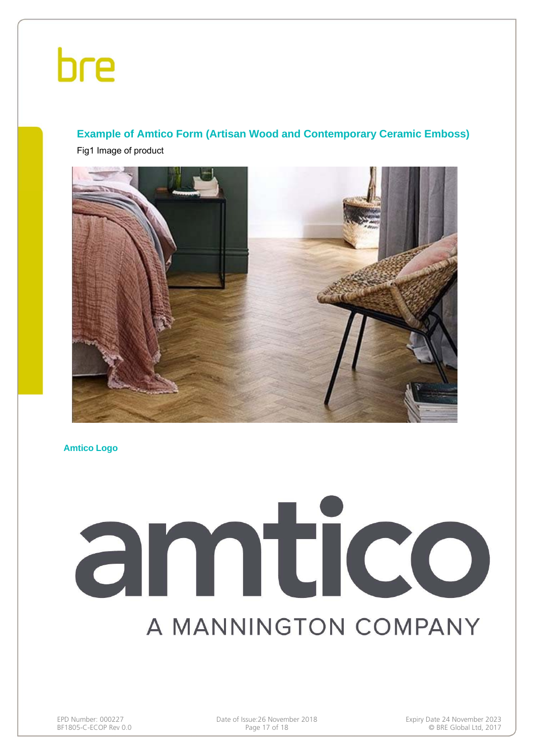### **Example of Amtico Form (Artisan Wood and Contemporary Ceramic Emboss)**

Fig1 Image of product



**Amtico Logo**

# amtico A MANNINGTON COMPANY

EPD Number: 000227 Date of Issue:26 November 2018 Expiry Date 24 November 2023